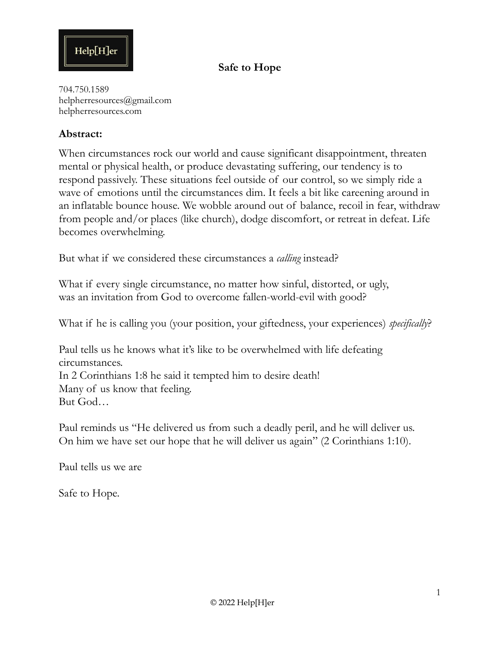

704.750.1589 helpherresources@gmail.com helpherresources.com

#### **Abstract:**

When circumstances rock our world and cause significant disappointment, threaten mental or physical health, or produce devastating suffering, our tendency is to respond passively. These situations feel outside of our control, so we simply ride a wave of emotions until the circumstances dim. It feels a bit like careening around in an inflatable bounce house. We wobble around out of balance, recoil in fear, withdraw from people and/or places (like church), dodge discomfort, or retreat in defeat. Life becomes overwhelming.

But what if we considered these circumstances a *calling* instead?

What if every single circumstance, no matter how sinful, distorted, or ugly, was an invitation from God to overcome fallen-world-evil with good?

What if he is calling you (your position, your giftedness, your experiences) *specifically*?

Paul tells us he knows what it's like to be overwhelmed with life defeating circumstances. In 2 Corinthians 1:8 he said it tempted him to desire death! Many of us know that feeling. But God…

Paul reminds us "He delivered us from such a deadly peril, and he will deliver us. On him we have set our hope that he will deliver us again" (2 Corinthians 1:10).

Paul tells us we are

Safe to Hope.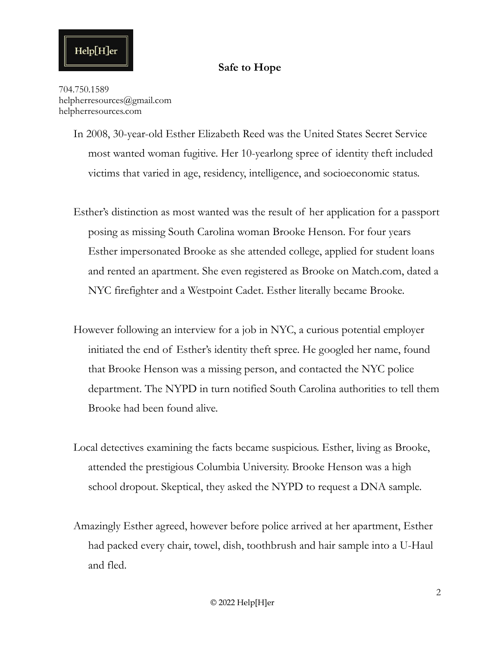704.750.1589 helpherresources@gmail.com helpherresources.com

 $\text{Help}[\text{H}]$ er

- In 2008, 30-year-old Esther Elizabeth Reed was the United States Secret Service most wanted woman fugitive. Her 10-yearlong spree of identity theft included victims that varied in age, residency, intelligence, and socioeconomic status.
- Esther's distinction as most wanted was the result of her application for a passport posing as missing South Carolina woman Brooke Henson. For four years Esther impersonated Brooke as she attended college, applied for student loans and rented an apartment. She even registered as Brooke on Match.com, dated a NYC firefighter and a Westpoint Cadet. Esther literally became Brooke.
- However following an interview for a job in NYC, a curious potential employer initiated the end of Esther's identity theft spree. He googled her name, found that Brooke Henson was a missing person, and contacted the NYC police department. The NYPD in turn notified South Carolina authorities to tell them Brooke had been found alive.
- Local detectives examining the facts became suspicious. Esther, living as Brooke, attended the prestigious Columbia University. Brooke Henson was a high school dropout. Skeptical, they asked the NYPD to request a DNA sample.
- Amazingly Esther agreed, however before police arrived at her apartment, Esther had packed every chair, towel, dish, toothbrush and hair sample into a U-Haul and fled.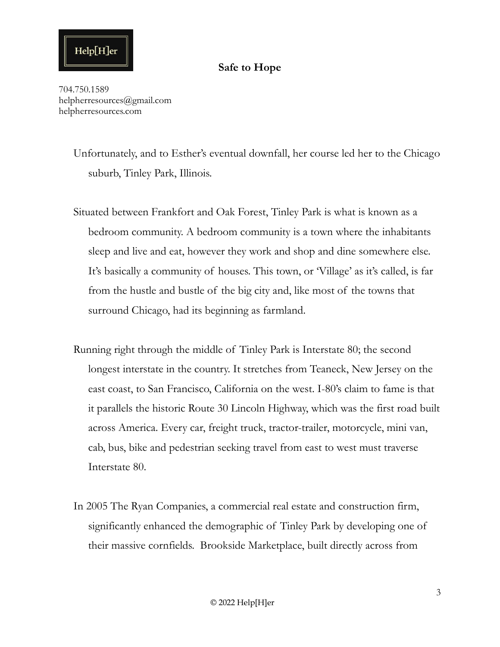#### **Safe to Hope**

704.750.1589 helpherresources@gmail.com helpherresources.com

> Unfortunately, and to Esther's eventual downfall, her course led her to the Chicago suburb, Tinley Park, Illinois.

- Situated between Frankfort and Oak Forest, Tinley Park is what is known as a bedroom community. A bedroom community is a town where the inhabitants sleep and live and eat, however they work and shop and dine somewhere else. It's basically a community of houses. This town, or 'Village' as it's called, is far from the hustle and bustle of the big city and, like most of the towns that surround Chicago, had its beginning as farmland.
- Running right through the middle of Tinley Park is Interstate 80; the second longest interstate in the country. It stretches from Teaneck, New Jersey on the east coast, to San Francisco, California on the west. I-80's claim to fame is that it parallels the historic Route 30 Lincoln Highway, which was the first road built across America. Every car, freight truck, tractor-trailer, motorcycle, mini van, cab, bus, bike and pedestrian seeking travel from east to west must traverse Interstate 80.
- In 2005 The Ryan Companies, a commercial real estate and construction firm, significantly enhanced the demographic of Tinley Park by developing one of their massive cornfields. Brookside Marketplace, built directly across from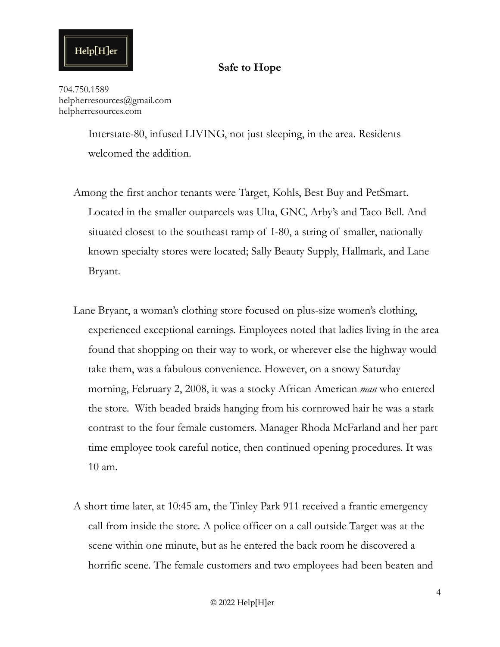704.750.1589 helpherresources@gmail.com helpherresources.com

> Interstate-80, infused LIVING, not just sleeping, in the area. Residents welcomed the addition.

- Among the first anchor tenants were Target, Kohls, Best Buy and PetSmart. Located in the smaller outparcels was Ulta, GNC, Arby's and Taco Bell. And situated closest to the southeast ramp of I-80, a string of smaller, nationally known specialty stores were located; Sally Beauty Supply, Hallmark, and Lane Bryant.
- Lane Bryant, a woman's clothing store focused on plus-size women's clothing, experienced exceptional earnings. Employees noted that ladies living in the area found that shopping on their way to work, or wherever else the highway would take them, was a fabulous convenience. However, on a snowy Saturday morning, February 2, 2008, it was a stocky African American *man* who entered the store. With beaded braids hanging from his cornrowed hair he was a stark contrast to the four female customers. Manager Rhoda McFarland and her part time employee took careful notice, then continued opening procedures. It was 10 am.
- A short time later, at 10:45 am, the Tinley Park 911 received a frantic emergency call from inside the store. A police officer on a call outside Target was at the scene within one minute, but as he entered the back room he discovered a horrific scene. The female customers and two employees had been beaten and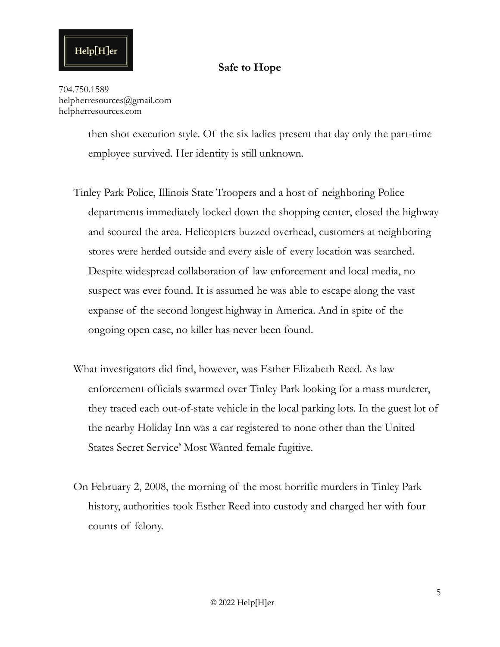704.750.1589 helpherresources@gmail.com helpherresources.com

> then shot execution style. Of the six ladies present that day only the part-time employee survived. Her identity is still unknown.

- Tinley Park Police, Illinois State Troopers and a host of neighboring Police departments immediately locked down the shopping center, closed the highway and scoured the area. Helicopters buzzed overhead, customers at neighboring stores were herded outside and every aisle of every location was searched. Despite widespread collaboration of law enforcement and local media, no suspect was ever found. It is assumed he was able to escape along the vast expanse of the second longest highway in America. And in spite of the ongoing open case, no killer has never been found.
- What investigators did find, however, was Esther Elizabeth Reed. As law enforcement officials swarmed over Tinley Park looking for a mass murderer, they traced each out-of-state vehicle in the local parking lots. In the guest lot of the nearby Holiday Inn was a car registered to none other than the United States Secret Service' Most Wanted female fugitive.
- On February 2, 2008, the morning of the most horrific murders in Tinley Park history, authorities took Esther Reed into custody and charged her with four counts of felony.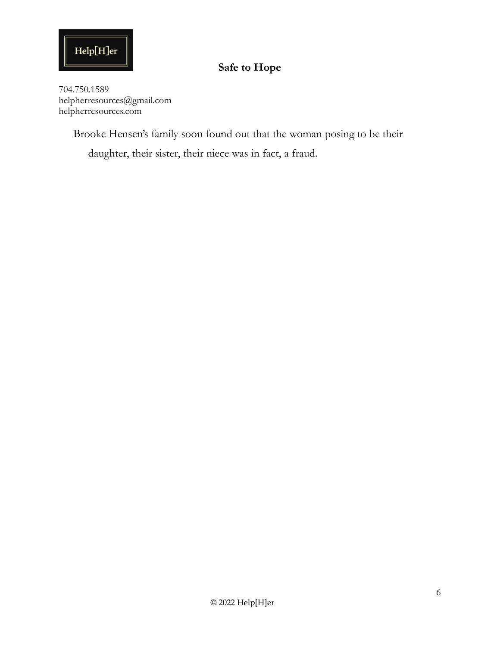

704.750.1589 helpherresources@gmail.com helpherresources.com

Brooke Hensen's family soon found out that the woman posing to be their

daughter, their sister, their niece was in fact, a fraud.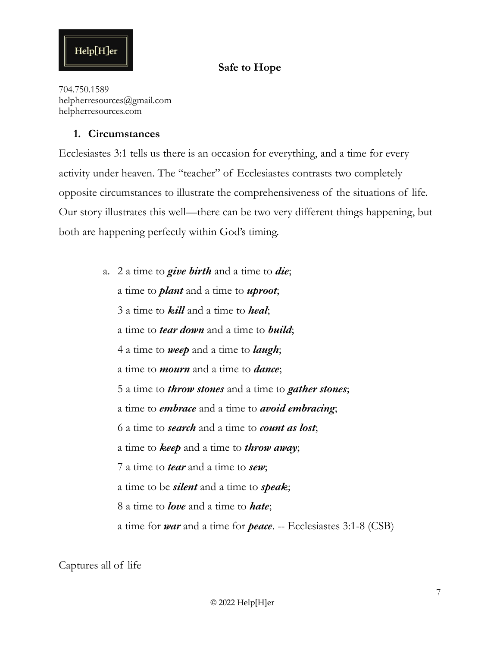

704.750.1589 helpherresources@gmail.com helpherresources.com

#### **1. Circumstances**

Ecclesiastes 3:1 tells us there is an occasion for everything, and a time for every activity under heaven. The "teacher" of Ecclesiastes contrasts two completely opposite circumstances to illustrate the comprehensiveness of the situations of life. Our story illustrates this well—there can be two very different things happening, but both are happening perfectly within God's timing.

> a. 2 a time to *give birth* and a time to *die*; a time to *plant* and a time to *uproot*; 3 a time to *kill* and a time to *heal*; a time to *tear down* and a time to *build*; 4 a time to *weep* and a time to *laugh*; a time to *mourn* and a time to *dance*; 5 a time to *throw stones* and a time to *gather stones*; a time to *embrace* and a time to *avoid embracing*; 6 a time to *search* and a time to *count as lost*; a time to *keep* and a time to *throw away*; 7 a time to *tear* and a time to *sew*; a time to be *silent* and a time to *speak*; 8 a time to *love* and a time to *hate*; a time for *war* and a time for *peace*. -- Ecclesiastes 3:1-8 (CSB)

Captures all of life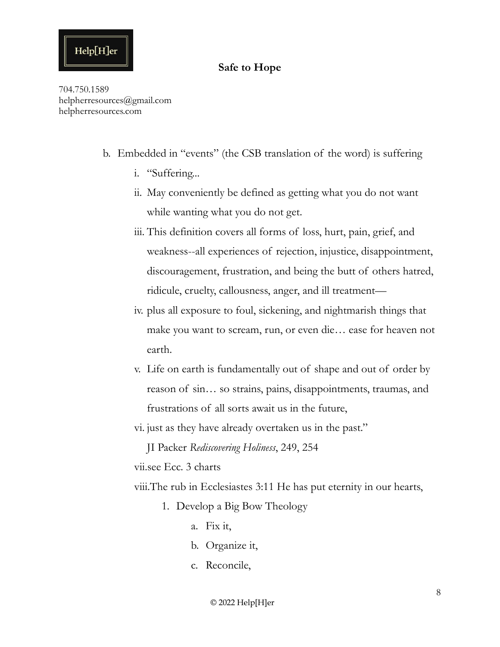#### **Safe to Hope**

704.750.1589 helpherresources@gmail.com helpherresources.com

- b. Embedded in "events" (the CSB translation of the word) is suffering
	- i. "Suffering...
	- ii. May conveniently be defined as getting what you do not want while wanting what you do not get.
	- iii. This definition covers all forms of loss, hurt, pain, grief, and weakness--all experiences of rejection, injustice, disappointment, discouragement, frustration, and being the butt of others hatred, ridicule, cruelty, callousness, anger, and ill treatment—
	- iv. plus all exposure to foul, sickening, and nightmarish things that make you want to scream, run, or even die… ease for heaven not earth.
	- v. Life on earth is fundamentally out of shape and out of order by reason of sin… so strains, pains, disappointments, traumas, and frustrations of all sorts await us in the future,
	- vi. just as they have already overtaken us in the past."

JI Packer *Rediscovering Holiness*, 249, 254

vii.see Ecc. 3 charts

viii.The rub in Ecclesiastes 3:11 He has put eternity in our hearts,

- 1. Develop a Big Bow Theology
	- a. Fix it,
	- b. Organize it,
	- c. Reconcile,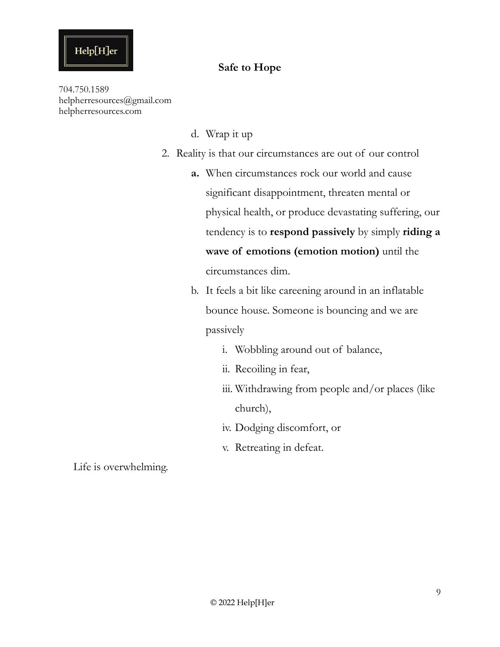

704.750.1589 helpherresources@gmail.com helpherresources.com

- d. Wrap it up
- 2. Reality is that our circumstances are out of our control
	- **a.** When circumstances rock our world and cause significant disappointment, threaten mental or physical health, or produce devastating suffering, our tendency is to **respond passively** by simply **riding a wave of emotions (emotion motion)** until the circumstances dim.
	- b. It feels a bit like careening around in an inflatable bounce house. Someone is bouncing and we are passively
		- i. Wobbling around out of balance,
		- ii. Recoiling in fear,
		- iii. Withdrawing from people and/or places (like church),
		- iv. Dodging discomfort, or
		- v. Retreating in defeat.

Life is overwhelming.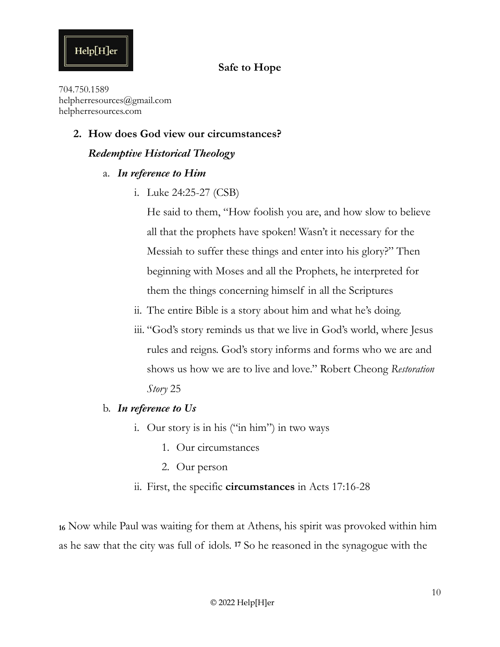#### **Safe to Hope**

704.750.1589 helpherresources@gmail.com helpherresources.com

#### **2. How does God view our circumstances?**

#### *Redemptive Historical Theology*

- a. *In reference to Him* 
	- i. Luke 24:25-27 (CSB)

He said to them, "How foolish you are, and how slow to believe all that the prophets have spoken! Wasn't it necessary for the Messiah to suffer these things and enter into his glory?" Then beginning with Moses and all the Prophets, he interpreted for them the things concerning himself in all the Scriptures

- ii. The entire Bible is a story about him and what he's doing.
- iii. "God's story reminds us that we live in God's world, where Jesus rules and reigns. God's story informs and forms who we are and shows us how we are to live and love." Robert Cheong *Restoration Story* 25
- b. *In reference to Us* 
	- i. Our story is in his ("in him") in two ways
		- 1. Our circumstances
		- 2. Our person
	- ii. First, the specific **circumstances** in Acts 17:16-28

**<sup>16</sup>** Now while Paul was waiting for them at Athens, his spirit was provoked within him as he saw that the city was full of idols. **17** So he reasoned in the synagogue with the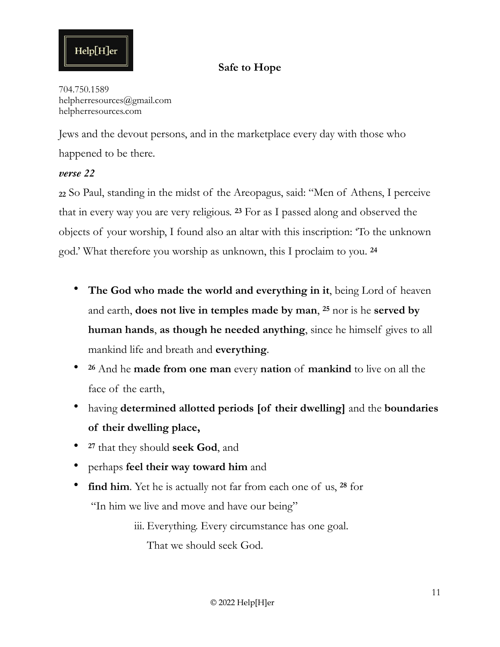# Help[H]er

#### **Safe to Hope**

704.750.1589 helpherresources@gmail.com helpherresources.com

Jews and the devout persons, and in the marketplace every day with those who happened to be there.

#### *verse 22*

**<sup>22</sup>** So Paul, standing in the midst of the Areopagus, said: "Men of Athens, I perceive that in every way you are very religious. **23** For as I passed along and observed the objects of your worship, I found also an altar with this inscription: 'To the unknown god.' What therefore you worship as unknown, this I proclaim to you. **<sup>24</sup>**

- **The God who made the world and everything in it**, being Lord of heaven and earth, **does not live in temples made by man**, **25** nor is he **served by human hands**, **as though he needed anything**, since he himself gives to all mankind life and breath and **everything**.
- **<sup>26</sup>** And he **made from one man** every **nation** of **mankind** to live on all the face of the earth,
- having **determined allotted periods [of their dwelling]** and the **boundaries of their dwelling place,**
- **<sup>27</sup>** that they should **seek God**, and
- perhaps **feel their way toward him** and
- **find him**. Yet he is actually not far from each one of us, **28** for "In him we live and move and have our being"

iii. Everything. Every circumstance has one goal.

That we should seek God.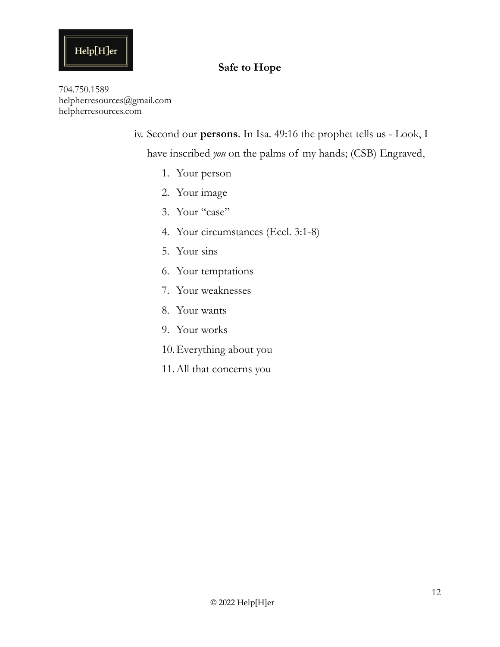# $\operatorname{Help}[H]$ er

# **Safe to Hope**

704.750.1589 helpherresources@gmail.com helpherresources.com

iv. Second our **persons**. In Isa. 49:16 the prophet tells us - Look, I

have inscribed *you* on the palms of my hands; (CSB) Engraved,

- 1. Your person
- 2. Your image
- 3. Your "case"
- 4. Your circumstances (Eccl. 3:1-8)
- 5. Your sins
- 6. Your temptations
- 7. Your weaknesses
- 8. Your wants
- 9. Your works
- 10.Everything about you
- 11.All that concerns you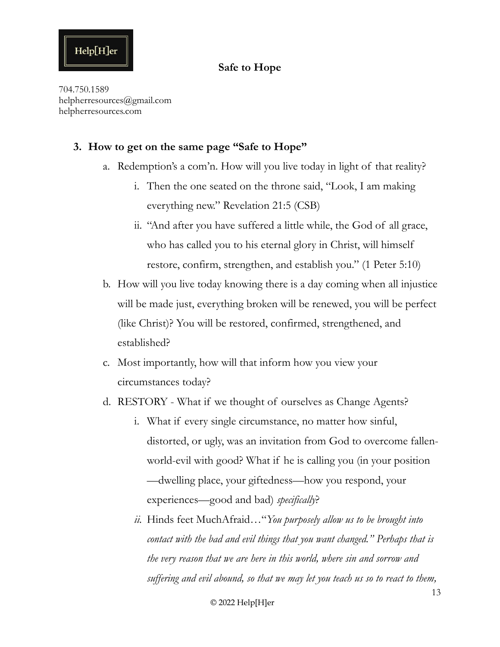#### **Safe to Hope**

704.750.1589 helpherresources@gmail.com helpherresources.com

#### **3. How to get on the same page "Safe to Hope"**

- a. Redemption's a com'n. How will you live today in light of that reality?
	- i. Then the one seated on the throne said, "Look, I am making everything new." Revelation 21:5 (CSB)
	- ii. "And after you have suffered a little while, the God of all grace, who has called you to his eternal glory in Christ, will himself restore, confirm, strengthen, and establish you." (1 Peter 5:10)
- b. How will you live today knowing there is a day coming when all injustice will be made just, everything broken will be renewed, you will be perfect (like Christ)? You will be restored, confirmed, strengthened, and established?
- c. Most importantly, how will that inform how you view your circumstances today?
- d. RESTORY What if we thought of ourselves as Change Agents?
	- i. What if every single circumstance, no matter how sinful, distorted, or ugly, was an invitation from God to overcome fallenworld-evil with good? What if he is calling you (in your position —dwelling place, your giftedness—how you respond, your experiences—good and bad) *specifically*?
	- *ii.* Hinds feet MuchAfraid…"*You purposely allow us to be brought into contact with the bad and evil things that you want changed." Perhaps that is the very reason that we are here in this world, where sin and sorrow and suffering and evil abound, so that we may let you teach us so to react to them,*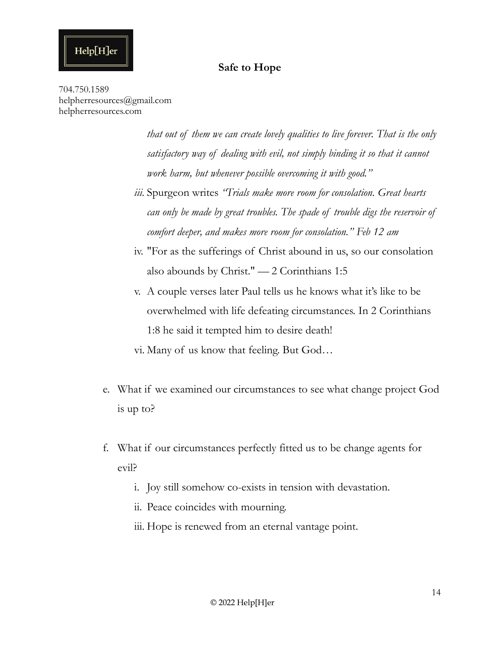704.750.1589 helpherresources@gmail.com helpherresources.com

Help[H]er

*that out of them we can create lovely qualities to live forever. That is the only satisfactory way of dealing with evil, not simply binding it so that it cannot work harm, but whenever possible overcoming it with good."*

- *iii.* Spurgeon writes *"Trials make more room for consolation. Great hearts can only be made by great troubles. The spade of trouble digs the reservoir of comfort deeper, and makes more room for consolation." Feb 12 am*
- iv. "For as the sufferings of Christ abound in us, so our consolation also abounds by Christ." — 2 Corinthians 1:5
- v. A couple verses later Paul tells us he knows what it's like to be overwhelmed with life defeating circumstances. In 2 Corinthians 1:8 he said it tempted him to desire death!
- vi. Many of us know that feeling. But God…
- e. What if we examined our circumstances to see what change project God is up to?
- f. What if our circumstances perfectly fitted us to be change agents for evil?
	- i. Joy still somehow co-exists in tension with devastation.
	- ii. Peace coincides with mourning.
	- iii. Hope is renewed from an eternal vantage point.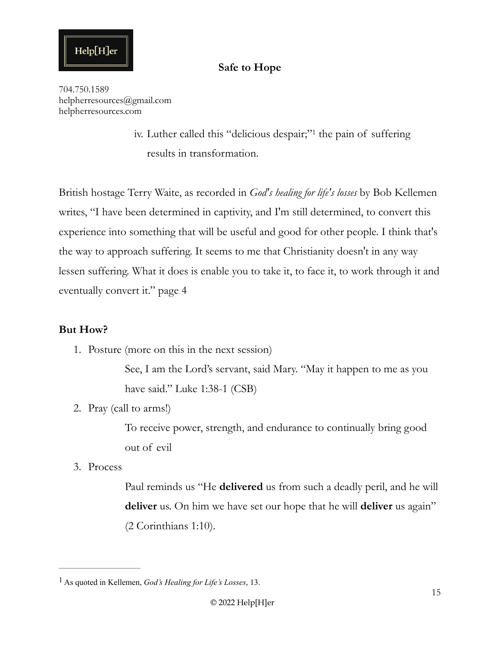#### <span id="page-14-1"></span>**Safe to Hope**

704.750.1589 helpherresources@gmail.com helpherresources.com

> iv.Luther called this "delicious despair;"<sup>[1](#page-14-0)</sup> the pain of suffering results in transformation.

British hostage Terry Waite, as recorded in *God's healing for life's losses* by Bob Kellemen writes, "I have been determined in captivity, and I'm still determined, to convert this experience into something that will be useful and good for other people. I think that's the way to approach suffering. It seems to me that Christianity doesn't in any way lessen suffering. What it does is enable you to take it, to face it, to work through it and eventually convert it." page 4

#### **But How?**

1. Posture (more on this in the next session)

See, I am the Lord's servant, said Mary. "May it happen to me as you have said." Luke 1:38-1 (CSB)

2. Pray (call to arms!)

To receive power, strength, and endurance to continually bring good out of evil

3. Process

Paul reminds us "He **delivered** us from such a deadly peril, and he will **deliver** us. On him we have set our hope that he will **deliver** us again" (2 Corinthians 1:10).

<span id="page-14-0"></span>As quoted in Kellemen, *God's Healing for Life's Losses*, 13. [1](#page-14-1)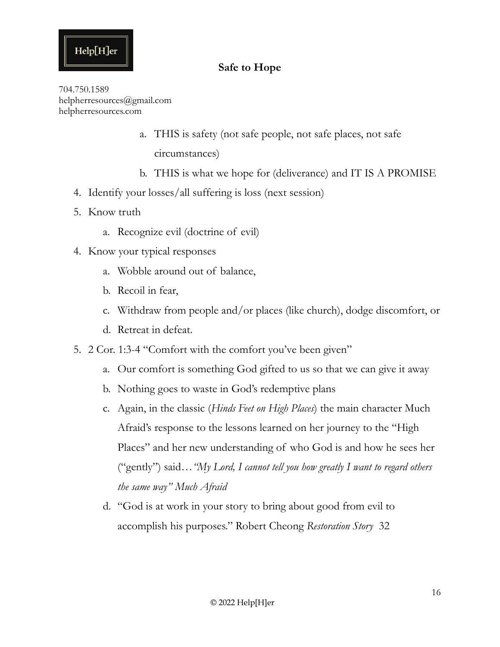#### **Safe to Hope**

704.750.1589 helpherresources@gmail.com helpherresources.com

- a. THIS is safety (not safe people, not safe places, not safe circumstances)
- b. THIS is what we hope for (deliverance) and IT IS A PROMISE
- 4. Identify your losses/all suffering is loss (next session)
- 5. Know truth
	- a. Recognize evil (doctrine of evil)
- 4. Know your typical responses
	- a. Wobble around out of balance,
	- b. Recoil in fear,
	- c. Withdraw from people and/or places (like church), dodge discomfort, or
	- d. Retreat in defeat.
- 5. 2 Cor. 1:3-4 "Comfort with the comfort you've been given"
	- a. Our comfort is something God gifted to us so that we can give it away
	- b. Nothing goes to waste in God's redemptive plans
	- c. Again, in the classic (*Hinds Feet on High Places*) the main character Much Afraid's response to the lessons learned on her journey to the "High Places" and her new understanding of who God is and how he sees her ("gently") said…*"My Lord, I cannot tell you how greatly I want to regard others the same way" Much Afraid*
	- d. "God is at work in your story to bring about good from evil to accomplish his purposes." Robert Cheong *Restoration Story* 32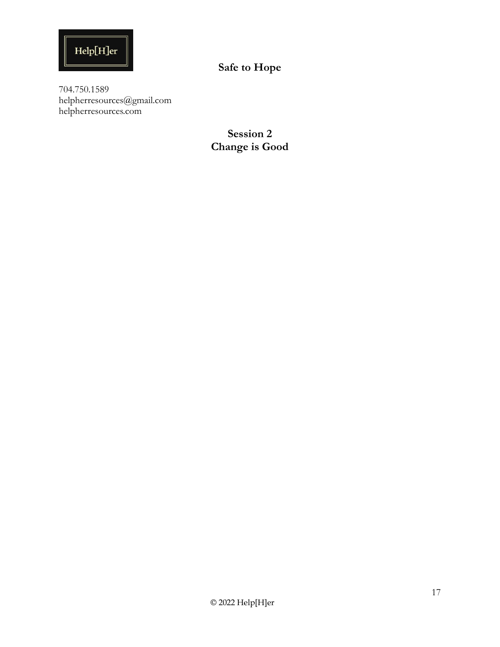

704.750.1589 helpherresources@gmail.com helpherresources.com

> **Session 2 Change is Good**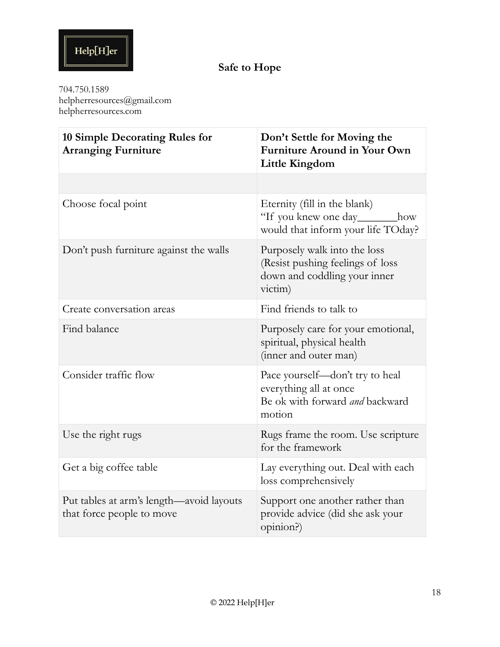704.750.1589 helpherresources@gmail.com helpherresources.com

| 10 Simple Decorating Rules for<br><b>Arranging Furniture</b>          | Don't Settle for Moving the<br><b>Furniture Around in Your Own</b><br>Little Kingdom                        |
|-----------------------------------------------------------------------|-------------------------------------------------------------------------------------------------------------|
|                                                                       |                                                                                                             |
| Choose focal point                                                    | Eternity (fill in the blank)<br>"If you knew one day________how<br>would that inform your life TOday?       |
| Don't push furniture against the walls                                | Purposely walk into the loss<br>(Resist pushing feelings of loss<br>down and coddling your inner<br>victim) |
| Create conversation areas                                             | Find friends to talk to                                                                                     |
| Find balance                                                          | Purposely care for your emotional,<br>spiritual, physical health<br>(inner and outer man)                   |
| Consider traffic flow                                                 | Pace yourself—don't try to heal<br>everything all at once<br>Be ok with forward and backward<br>motion      |
| Use the right rugs                                                    | Rugs frame the room. Use scripture<br>for the framework                                                     |
| Get a big coffee table                                                | Lay everything out. Deal with each<br>loss comprehensively                                                  |
| Put tables at arm's length—avoid layouts<br>that force people to move | Support one another rather than<br>provide advice (did she ask your<br>opinion?)                            |